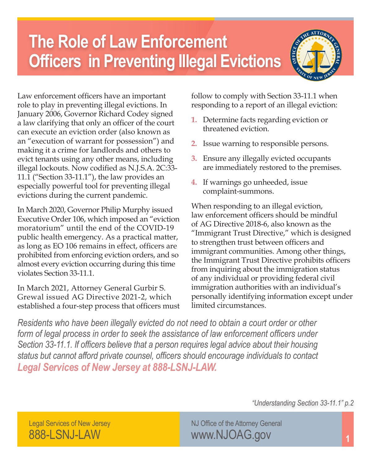## **The Role of Law Enforcement Officers in Preventing Illegal Evictions**



Law enforcement officers have an important role to play in preventing illegal evictions. In January 2006, Governor Richard Codey signed a law clarifying that only an officer of the court can execute an eviction order (also known as an "execution of warrant for possession") and making it a crime for landlords and others to evict tenants using any other means, including illegal lockouts. Now codified as N.J.S.A. 2C:33- 11.1 ("Section 33-11.1"), the law provides an especially powerful tool for preventing illegal evictions during the current pandemic.

In March 2020, Governor Philip Murphy issued Executive Order 106, which imposed an "eviction moratorium" until the end of the COVID-19 public health emergency. As a practical matter, as long as EO 106 remains in effect, officers are prohibited from enforcing eviction orders, and so almost every eviction occurring during this time violates Section 33-11.1.

In March 2021, Attorney General Gurbir S. Grewal issued AG Directive 2021-2, which established a four-step process that officers must follow to comply with Section 33-11.1 when responding to a report of an illegal eviction:

- **1.** Determine facts regarding eviction or threatened eviction.
- **2.** Issue warning to responsible persons.
- **3.** Ensure any illegally evicted occupants are immediately restored to the premises.
- **4.** If warnings go unheeded, issue complaint-summons.

When responding to an illegal eviction, law enforcement officers should be mindful of AG Directive 2018-6, also known as the "Immigrant Trust Directive," which is designed to strengthen trust between officers and immigrant communities. Among other things, the Immigrant Trust Directive prohibits officers from inquiring about the immigration status of any individual or providing federal civil immigration authorities with an individual's personally identifying information except under limited circumstances.

*Residents who have been illegally evicted do not need to obtain a court order or other form of legal process in order to seek the assistance of law enforcement officers under Section 33-11.1. If officers believe that a person requires legal advice about their housing status but cannot afford private counsel, officers should encourage individuals to contact Legal Services of New Jersey at 888-LSNJ-LAW.*

*"Understanding Section 33-11.1" p.2*